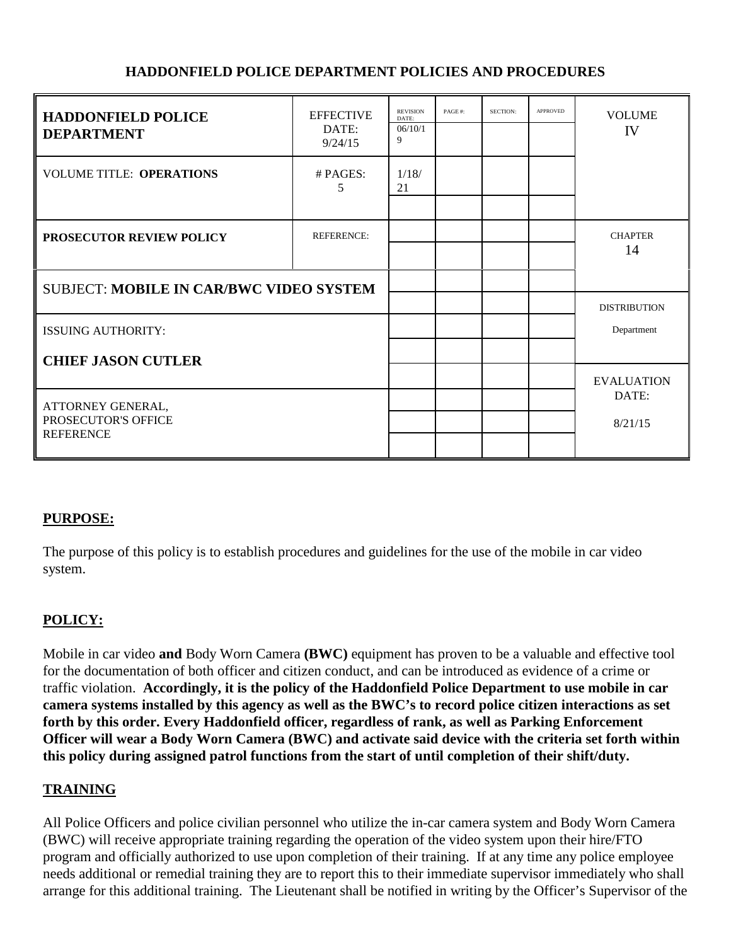#### **HADDONFIELD POLICE DEPARTMENT POLICIES AND PROCEDURES**

| <b>HADDONFIELD POLICE</b><br><b>DEPARTMENT</b>               | <b>EFFECTIVE</b><br>DATE:<br>9/24/15 | <b>REVISION</b><br>DATE:<br>06/10/1<br>9 | PAGE#: | SECTION: | <b>APPROVED</b> | <b>VOLUME</b><br>IV               |
|--------------------------------------------------------------|--------------------------------------|------------------------------------------|--------|----------|-----------------|-----------------------------------|
| <b>VOLUME TITLE: OPERATIONS</b>                              | $#$ PAGES:<br>5                      | 1/18/<br>21                              |        |          |                 |                                   |
| PROSECUTOR REVIEW POLICY                                     | <b>REFERENCE:</b>                    |                                          |        |          |                 | <b>CHAPTER</b><br>14              |
| <b>SUBJECT: MOBILE IN CAR/BWC VIDEO SYSTEM</b>               |                                      |                                          |        |          |                 |                                   |
| <b>ISSUING AUTHORITY:</b>                                    |                                      |                                          |        |          |                 | <b>DISTRIBUTION</b><br>Department |
| <b>CHIEF JASON CUTLER</b>                                    |                                      |                                          |        |          |                 | <b>EVALUATION</b>                 |
| ATTORNEY GENERAL,<br>PROSECUTOR'S OFFICE<br><b>REFERENCE</b> |                                      |                                          |        |          |                 | DATE:<br>8/21/15                  |

#### **PURPOSE:**

The purpose of this policy is to establish procedures and guidelines for the use of the mobile in car video system.

## **POLICY:**

Mobile in car video **and** Body Worn Camera **(BWC)** equipment has proven to be a valuable and effective tool for the documentation of both officer and citizen conduct, and can be introduced as evidence of a crime or traffic violation. **Accordingly, it is the policy of the Haddonfield Police Department to use mobile in car camera systems installed by this agency as well as the BWC's to record police citizen interactions as set forth by this order. Every Haddonfield officer, regardless of rank, as well as Parking Enforcement Officer will wear a Body Worn Camera (BWC) and activate said device with the criteria set forth within this policy during assigned patrol functions from the start of until completion of their shift/duty.**

#### **TRAINING**

All Police Officers and police civilian personnel who utilize the in-car camera system and Body Worn Camera (BWC) will receive appropriate training regarding the operation of the video system upon their hire/FTO program and officially authorized to use upon completion of their training. If at any time any police employee needs additional or remedial training they are to report this to their immediate supervisor immediately who shall arrange for this additional training. The Lieutenant shall be notified in writing by the Officer's Supervisor of the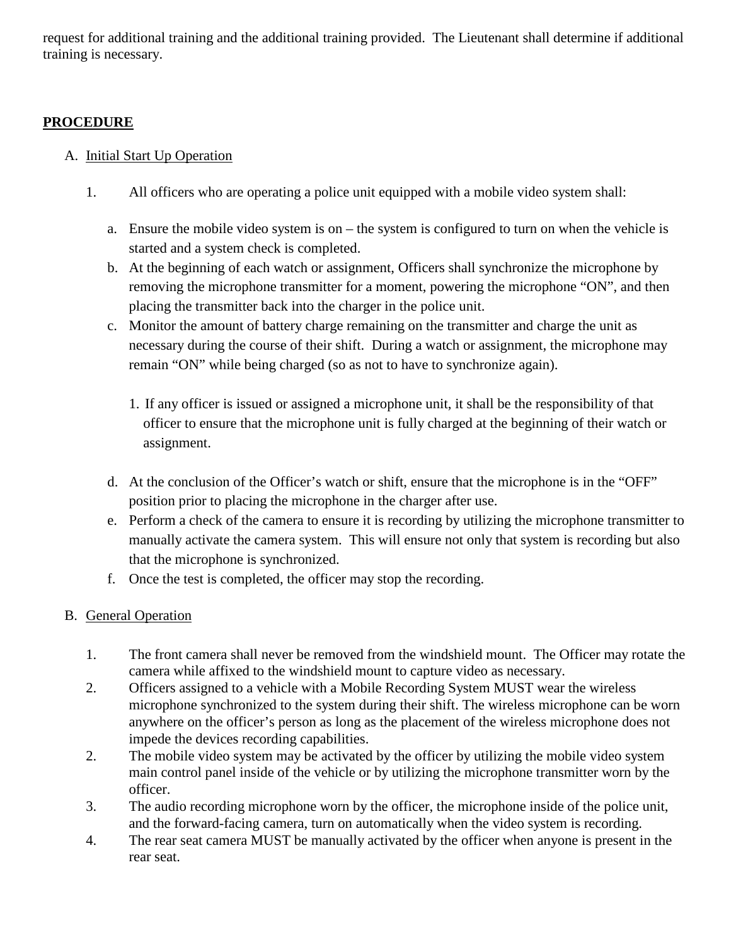request for additional training and the additional training provided. The Lieutenant shall determine if additional training is necessary.

#### **PROCEDURE**

#### A. Initial Start Up Operation

- 1. All officers who are operating a police unit equipped with a mobile video system shall:
	- a. Ensure the mobile video system is on the system is configured to turn on when the vehicle is started and a system check is completed.
	- b. At the beginning of each watch or assignment, Officers shall synchronize the microphone by removing the microphone transmitter for a moment, powering the microphone "ON", and then placing the transmitter back into the charger in the police unit.
	- c. Monitor the amount of battery charge remaining on the transmitter and charge the unit as necessary during the course of their shift. During a watch or assignment, the microphone may remain "ON" while being charged (so as not to have to synchronize again).
		- 1. If any officer is issued or assigned a microphone unit, it shall be the responsibility of that officer to ensure that the microphone unit is fully charged at the beginning of their watch or assignment.
	- d. At the conclusion of the Officer's watch or shift, ensure that the microphone is in the "OFF" position prior to placing the microphone in the charger after use.
	- e. Perform a check of the camera to ensure it is recording by utilizing the microphone transmitter to manually activate the camera system. This will ensure not only that system is recording but also that the microphone is synchronized.
	- f. Once the test is completed, the officer may stop the recording.

## B. General Operation

- 1. The front camera shall never be removed from the windshield mount. The Officer may rotate the camera while affixed to the windshield mount to capture video as necessary.
- 2. Officers assigned to a vehicle with a Mobile Recording System MUST wear the wireless microphone synchronized to the system during their shift. The wireless microphone can be worn anywhere on the officer's person as long as the placement of the wireless microphone does not impede the devices recording capabilities.
- 2. The mobile video system may be activated by the officer by utilizing the mobile video system main control panel inside of the vehicle or by utilizing the microphone transmitter worn by the officer.
- 3. The audio recording microphone worn by the officer, the microphone inside of the police unit, and the forward-facing camera, turn on automatically when the video system is recording.
- 4. The rear seat camera MUST be manually activated by the officer when anyone is present in the rear seat.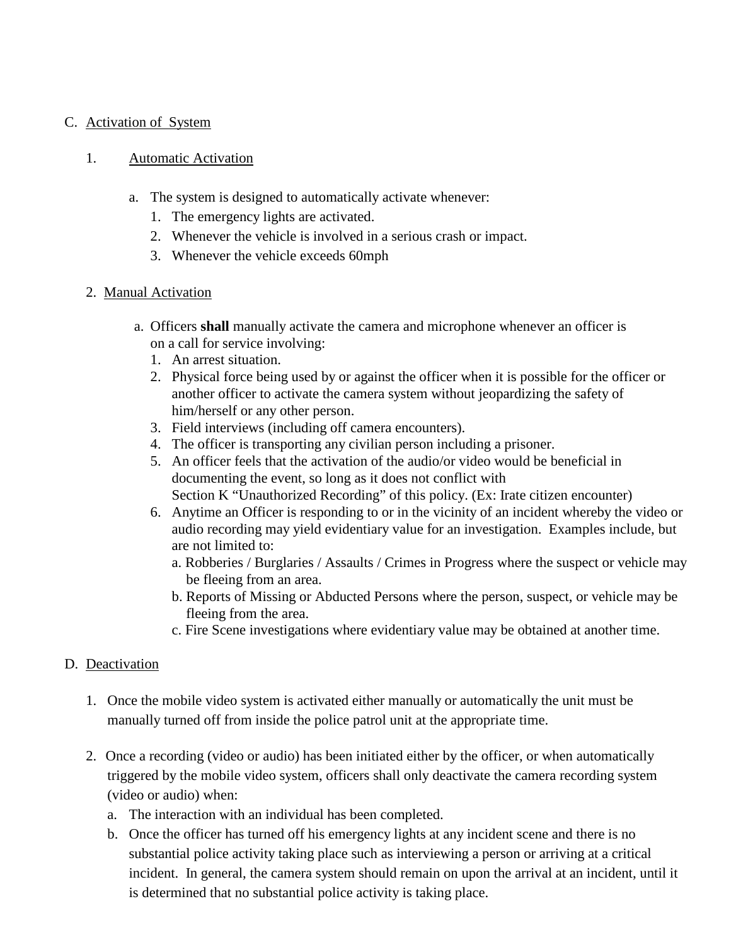#### C. Activation of System

#### 1. Automatic Activation

- a. The system is designed to automatically activate whenever:
	- 1. The emergency lights are activated.
	- 2. Whenever the vehicle is involved in a serious crash or impact.
	- 3. Whenever the vehicle exceeds 60mph
- 2. Manual Activation
	- a. Officers **shall** manually activate the camera and microphone whenever an officer is on a call for service involving:
		- 1. An arrest situation.
		- 2. Physical force being used by or against the officer when it is possible for the officer or another officer to activate the camera system without jeopardizing the safety of him/herself or any other person.
		- 3. Field interviews (including off camera encounters).
		- 4. The officer is transporting any civilian person including a prisoner.
		- 5. An officer feels that the activation of the audio/or video would be beneficial in documenting the event, so long as it does not conflict with Section K "Unauthorized Recording" of this policy. (Ex: Irate citizen encounter)
		- 6. Anytime an Officer is responding to or in the vicinity of an incident whereby the video or audio recording may yield evidentiary value for an investigation. Examples include, but are not limited to:
			- a. Robberies / Burglaries / Assaults / Crimes in Progress where the suspect or vehicle may be fleeing from an area.
			- b. Reports of Missing or Abducted Persons where the person, suspect, or vehicle may be fleeing from the area.
			- c. Fire Scene investigations where evidentiary value may be obtained at another time.

#### D. Deactivation

- 1. Once the mobile video system is activated either manually or automatically the unit must be manually turned off from inside the police patrol unit at the appropriate time.
- 2. Once a recording (video or audio) has been initiated either by the officer, or when automatically triggered by the mobile video system, officers shall only deactivate the camera recording system (video or audio) when:
	- a. The interaction with an individual has been completed.
	- b. Once the officer has turned off his emergency lights at any incident scene and there is no substantial police activity taking place such as interviewing a person or arriving at a critical incident. In general, the camera system should remain on upon the arrival at an incident, until it is determined that no substantial police activity is taking place.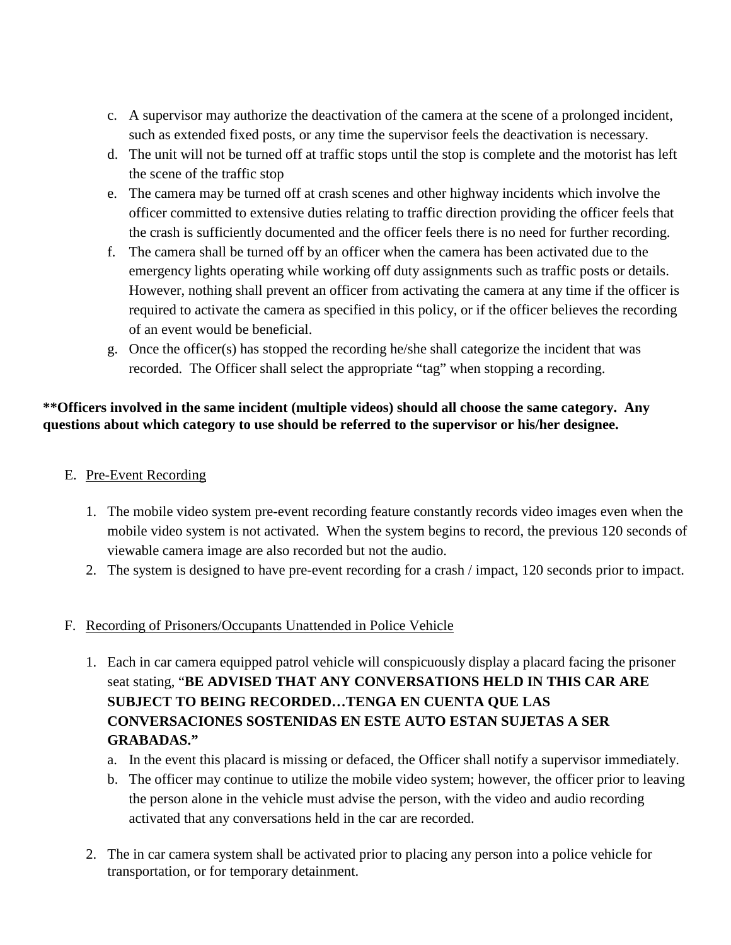- c. A supervisor may authorize the deactivation of the camera at the scene of a prolonged incident, such as extended fixed posts, or any time the supervisor feels the deactivation is necessary.
- d. The unit will not be turned off at traffic stops until the stop is complete and the motorist has left the scene of the traffic stop
- e. The camera may be turned off at crash scenes and other highway incidents which involve the officer committed to extensive duties relating to traffic direction providing the officer feels that the crash is sufficiently documented and the officer feels there is no need for further recording.
- f. The camera shall be turned off by an officer when the camera has been activated due to the emergency lights operating while working off duty assignments such as traffic posts or details. However, nothing shall prevent an officer from activating the camera at any time if the officer is required to activate the camera as specified in this policy, or if the officer believes the recording of an event would be beneficial.
- g. Once the officer(s) has stopped the recording he/she shall categorize the incident that was recorded. The Officer shall select the appropriate "tag" when stopping a recording.

## **\*\*Officers involved in the same incident (multiple videos) should all choose the same category. Any questions about which category to use should be referred to the supervisor or his/her designee.**

## E. Pre-Event Recording

- 1. The mobile video system pre-event recording feature constantly records video images even when the mobile video system is not activated. When the system begins to record, the previous 120 seconds of viewable camera image are also recorded but not the audio.
- 2. The system is designed to have pre-event recording for a crash / impact, 120 seconds prior to impact.

## F. Recording of Prisoners/Occupants Unattended in Police Vehicle

- 1. Each in car camera equipped patrol vehicle will conspicuously display a placard facing the prisoner seat stating, "**BE ADVISED THAT ANY CONVERSATIONS HELD IN THIS CAR ARE SUBJECT TO BEING RECORDED…TENGA EN CUENTA QUE LAS CONVERSACIONES SOSTENIDAS EN ESTE AUTO ESTAN SUJETAS A SER GRABADAS."**
	- a. In the event this placard is missing or defaced, the Officer shall notify a supervisor immediately.
	- b. The officer may continue to utilize the mobile video system; however, the officer prior to leaving the person alone in the vehicle must advise the person, with the video and audio recording activated that any conversations held in the car are recorded.
- 2. The in car camera system shall be activated prior to placing any person into a police vehicle for transportation, or for temporary detainment.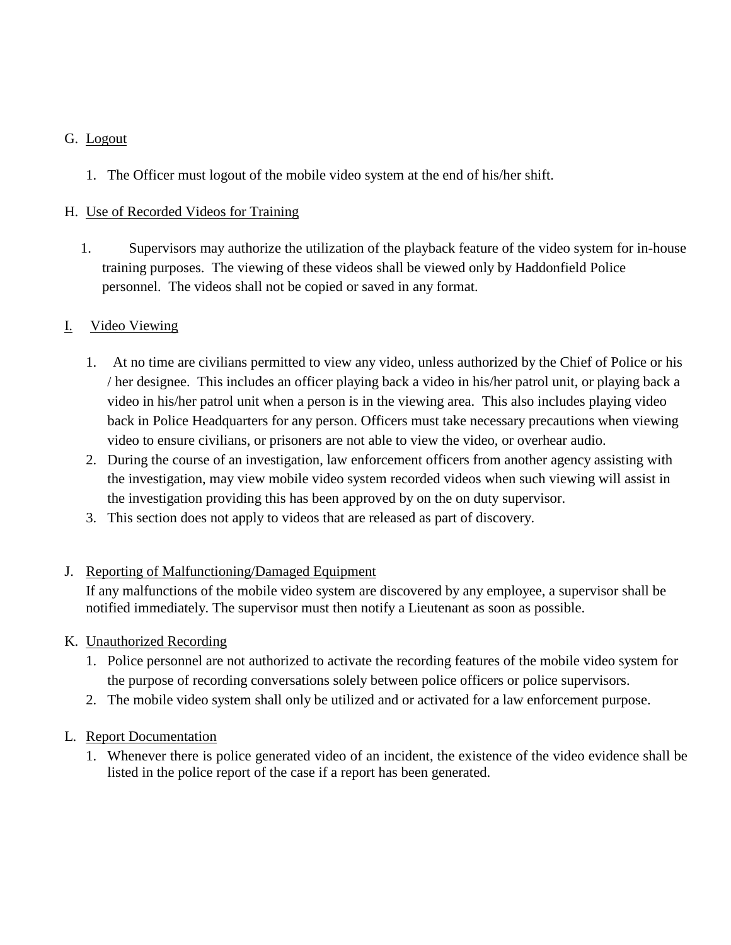#### G. Logout

1. The Officer must logout of the mobile video system at the end of his/her shift.

#### H. Use of Recorded Videos for Training

1. Supervisors may authorize the utilization of the playback feature of the video system for in-house training purposes. The viewing of these videos shall be viewed only by Haddonfield Police personnel. The videos shall not be copied or saved in any format.

#### I. Video Viewing

- 1. At no time are civilians permitted to view any video, unless authorized by the Chief of Police or his / her designee. This includes an officer playing back a video in his/her patrol unit, or playing back a video in his/her patrol unit when a person is in the viewing area. This also includes playing video back in Police Headquarters for any person. Officers must take necessary precautions when viewing video to ensure civilians, or prisoners are not able to view the video, or overhear audio.
- 2. During the course of an investigation, law enforcement officers from another agency assisting with the investigation, may view mobile video system recorded videos when such viewing will assist in the investigation providing this has been approved by on the on duty supervisor.
- 3. This section does not apply to videos that are released as part of discovery.

#### J. Reporting of Malfunctioning/Damaged Equipment

If any malfunctions of the mobile video system are discovered by any employee, a supervisor shall be notified immediately. The supervisor must then notify a Lieutenant as soon as possible.

#### K. Unauthorized Recording

- 1. Police personnel are not authorized to activate the recording features of the mobile video system for the purpose of recording conversations solely between police officers or police supervisors.
- 2. The mobile video system shall only be utilized and or activated for a law enforcement purpose.

#### L. Report Documentation

1. Whenever there is police generated video of an incident, the existence of the video evidence shall be listed in the police report of the case if a report has been generated.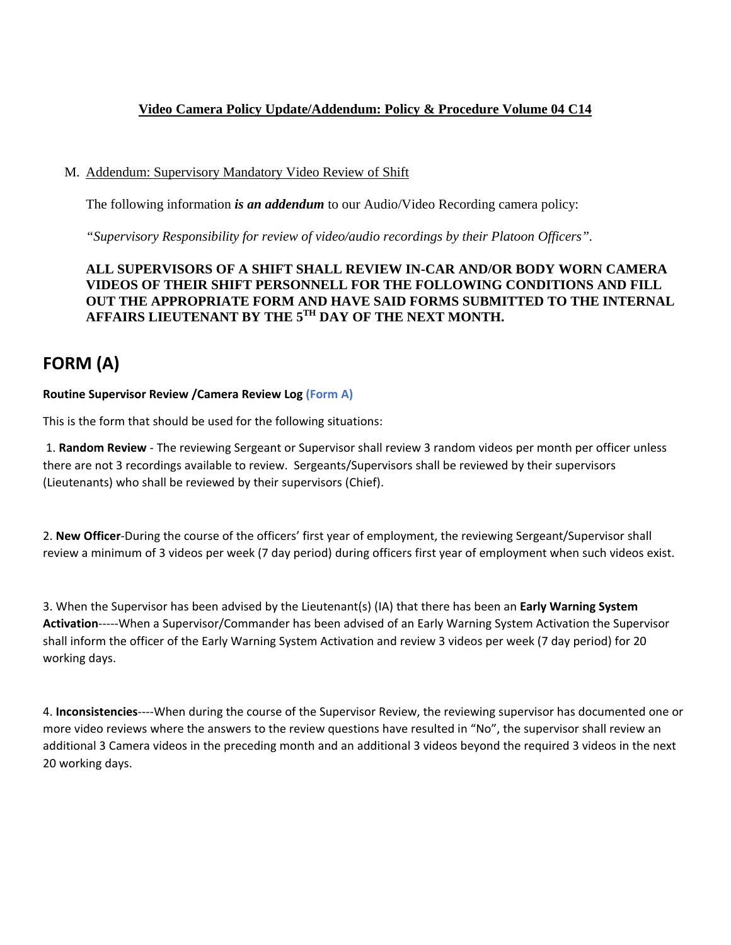#### **Video Camera Policy Update/Addendum: Policy & Procedure Volume 04 C14**

#### M. Addendum: Supervisory Mandatory Video Review of Shift

The following information *is an addendum* to our Audio/Video Recording camera policy:

*"Supervisory Responsibility for review of video/audio recordings by their Platoon Officers".* 

#### **ALL SUPERVISORS OF A SHIFT SHALL REVIEW IN-CAR AND/OR BODY WORN CAMERA VIDEOS OF THEIR SHIFT PERSONNELL FOR THE FOLLOWING CONDITIONS AND FILL OUT THE APPROPRIATE FORM AND HAVE SAID FORMS SUBMITTED TO THE INTERNAL AFFAIRS LIEUTENANT BY THE 5TH DAY OF THE NEXT MONTH.**

## **FORM (A)**

#### **Routine Supervisor Review /Camera Review Log (Form A)**

This is the form that should be used for the following situations:

1. **Random Review** - The reviewing Sergeant or Supervisor shall review 3 random videos per month per officer unless there are not 3 recordings available to review. Sergeants/Supervisors shall be reviewed by their supervisors (Lieutenants) who shall be reviewed by their supervisors (Chief).

2. **New Officer**-During the course of the officers' first year of employment, the reviewing Sergeant/Supervisor shall review a minimum of 3 videos per week (7 day period) during officers first year of employment when such videos exist.

3. When the Supervisor has been advised by the Lieutenant(s) (IA) that there has been an **Early Warning System Activation**-----When a Supervisor/Commander has been advised of an Early Warning System Activation the Supervisor shall inform the officer of the Early Warning System Activation and review 3 videos per week (7 day period) for 20 working days.

4. **Inconsistencies**----When during the course of the Supervisor Review, the reviewing supervisor has documented one or more video reviews where the answers to the review questions have resulted in "No", the supervisor shall review an additional 3 Camera videos in the preceding month and an additional 3 videos beyond the required 3 videos in the next 20 working days.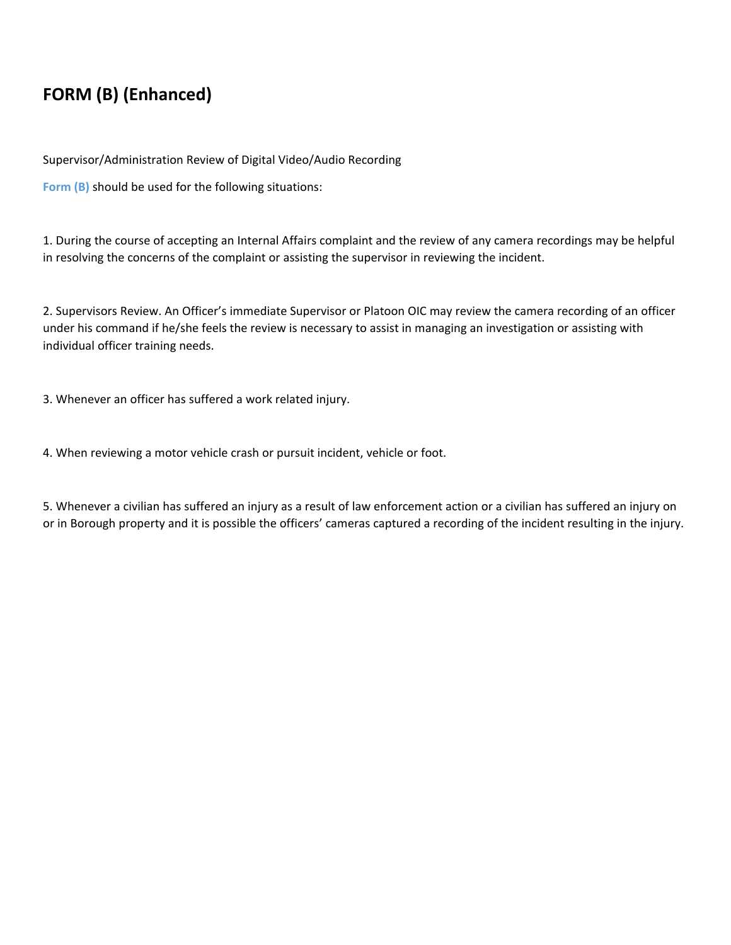# **FORM (B) (Enhanced)**

Supervisor/Administration Review of Digital Video/Audio Recording

**Form (B)** should be used for the following situations:

1. During the course of accepting an Internal Affairs complaint and the review of any camera recordings may be helpful in resolving the concerns of the complaint or assisting the supervisor in reviewing the incident.

2. Supervisors Review. An Officer's immediate Supervisor or Platoon OIC may review the camera recording of an officer under his command if he/she feels the review is necessary to assist in managing an investigation or assisting with individual officer training needs.

3. Whenever an officer has suffered a work related injury.

4. When reviewing a motor vehicle crash or pursuit incident, vehicle or foot.

5. Whenever a civilian has suffered an injury as a result of law enforcement action or a civilian has suffered an injury on or in Borough property and it is possible the officers' cameras captured a recording of the incident resulting in the injury.